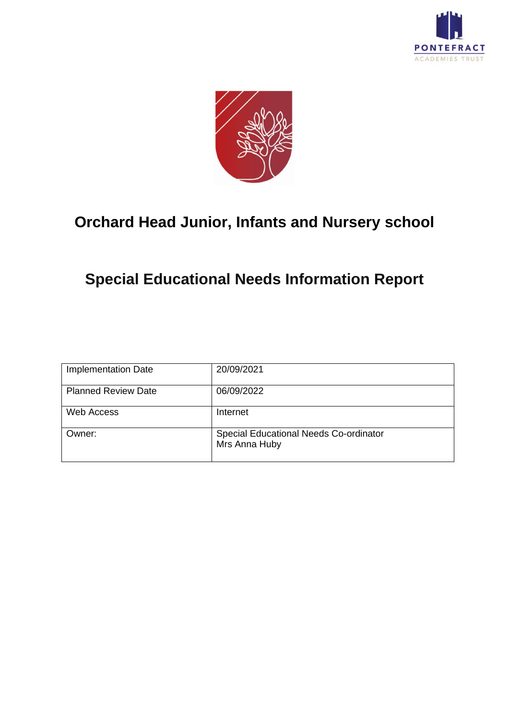



### **Orchard Head Junior, Infants and Nursery school**

## **Special Educational Needs Information Report**

| <b>Implementation Date</b> | 20/09/2021                                              |
|----------------------------|---------------------------------------------------------|
| <b>Planned Review Date</b> | 06/09/2022                                              |
| <b>Web Access</b>          | Internet                                                |
| Owner:                     | Special Educational Needs Co-ordinator<br>Mrs Anna Huby |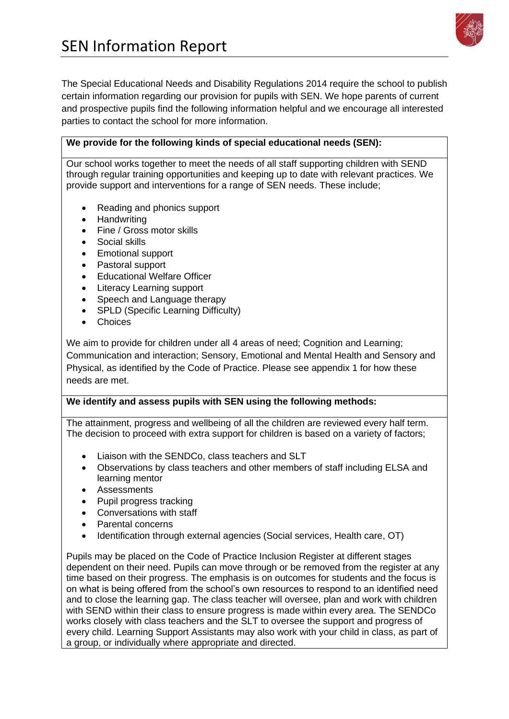

The Special Educational Needs and Disability Regulations 2014 require the school to publish certain information regarding our provision for pupils with SEN. We hope parents of current and prospective pupils find the following information helpful and we encourage all interested parties to contact the school for more information.

### **We provide for the following kinds of special educational needs (SEN):**

Our school works together to meet the needs of all staff supporting children with SEND through regular training opportunities and keeping up to date with relevant practices. We provide support and interventions for a range of SEN needs. These include;

- Reading and phonics support
- Handwriting
- Fine / Gross motor skills
- Social skills
- Emotional support
- Pastoral support
- Educational Welfare Officer
- Literacy Learning support
- Speech and Language therapy
- SPLD (Specific Learning Difficulty)
- Choices

We aim to provide for children under all 4 areas of need; Cognition and Learning; Communication and interaction; Sensory, Emotional and Mental Health and Sensory and Physical, as identified by the Code of Practice. Please see appendix 1 for how these needs are met.

### **We identify and assess pupils with SEN using the following methods:**

The attainment, progress and wellbeing of all the children are reviewed every half term. The decision to proceed with extra support for children is based on a variety of factors;

- Liaison with the SENDCo, class teachers and SLT
- Observations by class teachers and other members of staff including ELSA and learning mentor
- Assessments
- Pupil progress tracking
- Conversations with staff
- Parental concerns
- Identification through external agencies (Social services, Health care, OT)

Pupils may be placed on the Code of Practice Inclusion Register at different stages dependent on their need. Pupils can move through or be removed from the register at any time based on their progress. The emphasis is on outcomes for students and the focus is on what is being offered from the school's own resources to respond to an identified need and to close the learning gap. The class teacher will oversee, plan and work with children with SEND within their class to ensure progress is made within every area. The SENDCo works closely with class teachers and the SLT to oversee the support and progress of every child. Learning Support Assistants may also work with your child in class, as part of a group, or individually where appropriate and directed.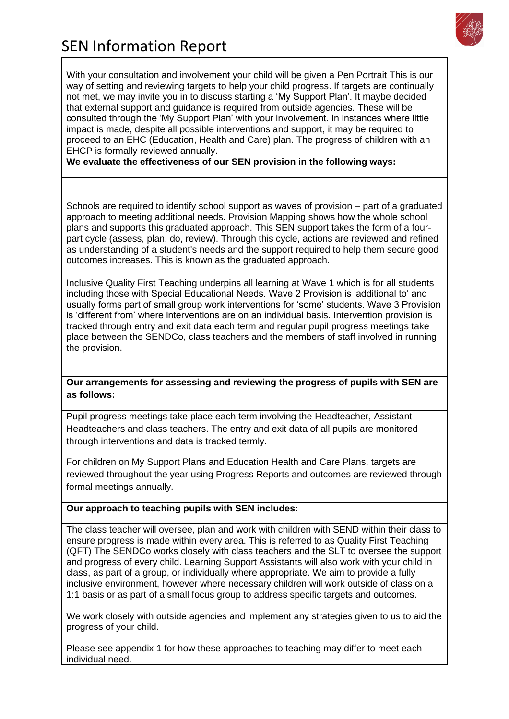

With your consultation and involvement your child will be given a Pen Portrait This is our way of setting and reviewing targets to help your child progress. If targets are continually not met, we may invite you in to discuss starting a 'My Support Plan'. It maybe decided that external support and guidance is required from outside agencies. These will be consulted through the 'My Support Plan' with your involvement. In instances where little impact is made, despite all possible interventions and support, it may be required to proceed to an EHC (Education, Health and Care) plan. The progress of children with an EHCP is formally reviewed annually.

**We evaluate the effectiveness of our SEN provision in the following ways:**

Schools are required to identify school support as waves of provision – part of a graduated approach to meeting additional needs. Provision Mapping shows how the whole school plans and supports this graduated approach. This SEN support takes the form of a fourpart cycle (assess, plan, do, review). Through this cycle, actions are reviewed and refined as understanding of a student's needs and the support required to help them secure good outcomes increases. This is known as the graduated approach.

Inclusive Quality First Teaching underpins all learning at Wave 1 which is for all students including those with Special Educational Needs. Wave 2 Provision is 'additional to' and usually forms part of small group work interventions for 'some' students. Wave 3 Provision is 'different from' where interventions are on an individual basis. Intervention provision is tracked through entry and exit data each term and regular pupil progress meetings take place between the SENDCo, class teachers and the members of staff involved in running the provision.

**Our arrangements for assessing and reviewing the progress of pupils with SEN are as follows:**

Pupil progress meetings take place each term involving the Headteacher, Assistant Headteachers and class teachers. The entry and exit data of all pupils are monitored through interventions and data is tracked termly.

For children on My Support Plans and Education Health and Care Plans, targets are reviewed throughout the year using Progress Reports and outcomes are reviewed through formal meetings annually.

### **Our approach to teaching pupils with SEN includes:**

The class teacher will oversee, plan and work with children with SEND within their class to ensure progress is made within every area. This is referred to as Quality First Teaching (QFT) The SENDCo works closely with class teachers and the SLT to oversee the support and progress of every child. Learning Support Assistants will also work with your child in class, as part of a group, or individually where appropriate. We aim to provide a fully inclusive environment, however where necessary children will work outside of class on a 1:1 basis or as part of a small focus group to address specific targets and outcomes.

We work closely with outside agencies and implement any strategies given to us to aid the progress of your child.

Please see appendix 1 for how these approaches to teaching may differ to meet each individual need.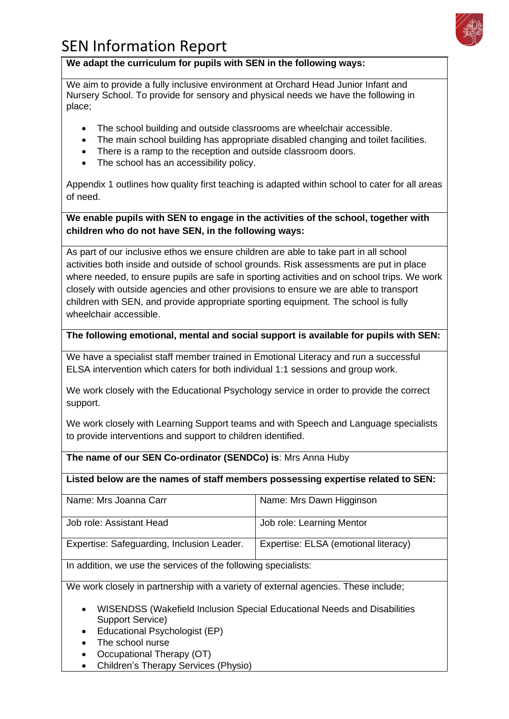

### **We adapt the curriculum for pupils with SEN in the following ways:**

We aim to provide a fully inclusive environment at Orchard Head Junior Infant and Nursery School. To provide for sensory and physical needs we have the following in place;

- The school building and outside classrooms are wheelchair accessible.
- The main school building has appropriate disabled changing and toilet facilities.
- There is a ramp to the reception and outside classroom doors.
- The school has an accessibility policy.

Appendix 1 outlines how quality first teaching is adapted within school to cater for all areas of need.

### **We enable pupils with SEN to engage in the activities of the school, together with children who do not have SEN, in the following ways:**

As part of our inclusive ethos we ensure children are able to take part in all school activities both inside and outside of school grounds. Risk assessments are put in place where needed, to ensure pupils are safe in sporting activities and on school trips. We work closely with outside agencies and other provisions to ensure we are able to transport children with SEN, and provide appropriate sporting equipment. The school is fully wheelchair accessible.

#### **The following emotional, mental and social support is available for pupils with SEN:**

We have a specialist staff member trained in Emotional Literacy and run a successful ELSA intervention which caters for both individual 1:1 sessions and group work.

We work closely with the Educational Psychology service in order to provide the correct support.

We work closely with Learning Support teams and with Speech and Language specialists to provide interventions and support to children identified.

#### **The name of our SEN Co-ordinator (SENDCo) is**: Mrs Anna Huby

#### **Listed below are the names of staff members possessing expertise related to SEN:**

| Name: Mrs Joanna Carr                      | Name: Mrs Dawn Higginson             |
|--------------------------------------------|--------------------------------------|
|                                            |                                      |
|                                            |                                      |
| Job role: Assistant Head                   | Job role: Learning Mentor            |
|                                            |                                      |
|                                            |                                      |
| Expertise: Safeguarding, Inclusion Leader. | Expertise: ELSA (emotional literacy) |
|                                            |                                      |
|                                            |                                      |

In addition, we use the services of the following specialists:

We work closely in partnership with a variety of external agencies. These include;

- WISENDSS (Wakefield Inclusion Special Educational Needs and Disabilities Support Service)
- Educational Psychologist (EP)
- The school nurse
- Occupational Therapy (OT)
- Children's Therapy Services (Physio)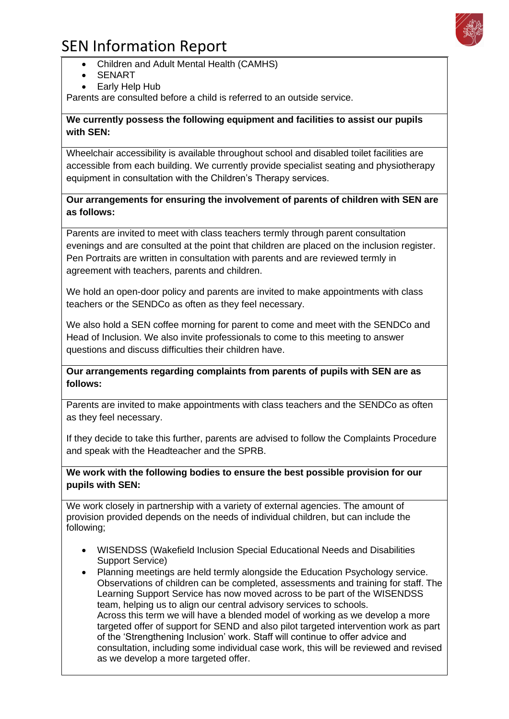- Children and Adult Mental Health (CAMHS)
- SENART
- Early Help Hub

Parents are consulted before a child is referred to an outside service.

#### **We currently possess the following equipment and facilities to assist our pupils with SEN:**

Wheelchair accessibility is available throughout school and disabled toilet facilities are accessible from each building. We currently provide specialist seating and physiotherapy equipment in consultation with the Children's Therapy services.

### **Our arrangements for ensuring the involvement of parents of children with SEN are as follows:**

Parents are invited to meet with class teachers termly through parent consultation evenings and are consulted at the point that children are placed on the inclusion register. Pen Portraits are written in consultation with parents and are reviewed termly in agreement with teachers, parents and children.

We hold an open-door policy and parents are invited to make appointments with class teachers or the SENDCo as often as they feel necessary.

We also hold a SEN coffee morning for parent to come and meet with the SENDCo and Head of Inclusion. We also invite professionals to come to this meeting to answer questions and discuss difficulties their children have.

**Our arrangements regarding complaints from parents of pupils with SEN are as follows:**

Parents are invited to make appointments with class teachers and the SENDCo as often as they feel necessary.

If they decide to take this further, parents are advised to follow the Complaints Procedure and speak with the Headteacher and the SPRB.

#### **We work with the following bodies to ensure the best possible provision for our pupils with SEN:**

We work closely in partnership with a variety of external agencies. The amount of provision provided depends on the needs of individual children, but can include the following;

- WISENDSS (Wakefield Inclusion Special Educational Needs and Disabilities Support Service)
- Planning meetings are held termly alongside the Education Psychology service. Observations of children can be completed, assessments and training for staff. The Learning Support Service has now moved across to be part of the WISENDSS team, helping us to align our central advisory services to schools. Across this term we will have a blended model of working as we develop a more targeted offer of support for SEND and also pilot targeted intervention work as part of the 'Strengthening Inclusion' work. Staff will continue to offer advice and consultation, including some individual case work, this will be reviewed and revised as we develop a more targeted offer.

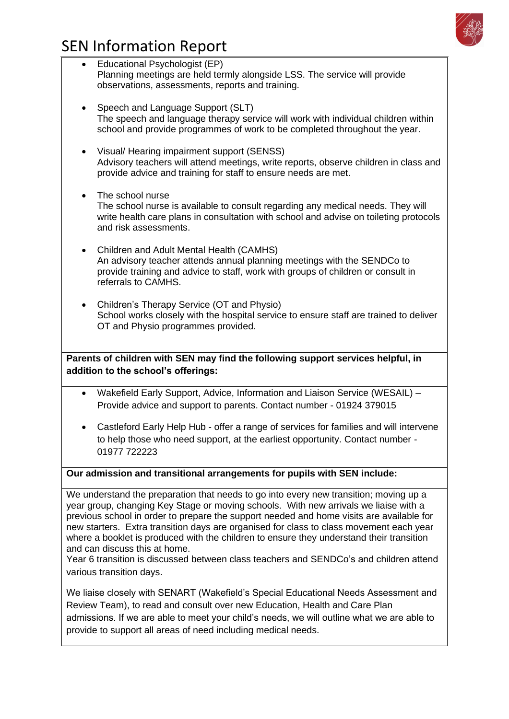

| Educational Psychologist (EP)<br>$\bullet$<br>Planning meetings are held termly alongside LSS. The service will provide<br>observations, assessments, reports and training.                                                                                                                                                                                                                                                                                                                                                                                                                                             |
|-------------------------------------------------------------------------------------------------------------------------------------------------------------------------------------------------------------------------------------------------------------------------------------------------------------------------------------------------------------------------------------------------------------------------------------------------------------------------------------------------------------------------------------------------------------------------------------------------------------------------|
| Speech and Language Support (SLT)<br>The speech and language therapy service will work with individual children within<br>school and provide programmes of work to be completed throughout the year.                                                                                                                                                                                                                                                                                                                                                                                                                    |
| Visual/ Hearing impairment support (SENSS)<br>Advisory teachers will attend meetings, write reports, observe children in class and<br>provide advice and training for staff to ensure needs are met.                                                                                                                                                                                                                                                                                                                                                                                                                    |
| The school nurse<br>$\bullet$<br>The school nurse is available to consult regarding any medical needs. They will<br>write health care plans in consultation with school and advise on toileting protocols<br>and risk assessments.                                                                                                                                                                                                                                                                                                                                                                                      |
| Children and Adult Mental Health (CAMHS)<br>An advisory teacher attends annual planning meetings with the SENDCo to<br>provide training and advice to staff, work with groups of children or consult in<br>referrals to CAMHS.                                                                                                                                                                                                                                                                                                                                                                                          |
| Children's Therapy Service (OT and Physio)<br>School works closely with the hospital service to ensure staff are trained to deliver<br>OT and Physio programmes provided.                                                                                                                                                                                                                                                                                                                                                                                                                                               |
| Parents of children with SEN may find the following support services helpful, in<br>addition to the school's offerings:                                                                                                                                                                                                                                                                                                                                                                                                                                                                                                 |
| Wakefield Early Support, Advice, Information and Liaison Service (WESAIL) -<br>$\bullet$                                                                                                                                                                                                                                                                                                                                                                                                                                                                                                                                |
| Provide advice and support to parents. Contact number - 01924 379015                                                                                                                                                                                                                                                                                                                                                                                                                                                                                                                                                    |
| Castleford Early Help Hub - offer a range of services for families and will intervene<br>to help those who need support, at the earliest opportunity. Contact number -<br>01977 722223                                                                                                                                                                                                                                                                                                                                                                                                                                  |
| Our admission and transitional arrangements for pupils with SEN include:                                                                                                                                                                                                                                                                                                                                                                                                                                                                                                                                                |
| We understand the preparation that needs to go into every new transition; moving up a<br>year group, changing Key Stage or moving schools. With new arrivals we liaise with a<br>previous school in order to prepare the support needed and home visits are available for<br>new starters. Extra transition days are organised for class to class movement each year<br>where a booklet is produced with the children to ensure they understand their transition<br>and can discuss this at home.<br>Year 6 transition is discussed between class teachers and SENDCo's and children attend<br>various transition days. |
| We liaise closely with SENART (Wakefield's Special Educational Needs Assessment and<br>Review Team), to read and consult over new Education, Health and Care Plan<br>admissions. If we are able to meet your child's needs, we will outline what we are able to<br>provide to support all areas of need including medical needs.                                                                                                                                                                                                                                                                                        |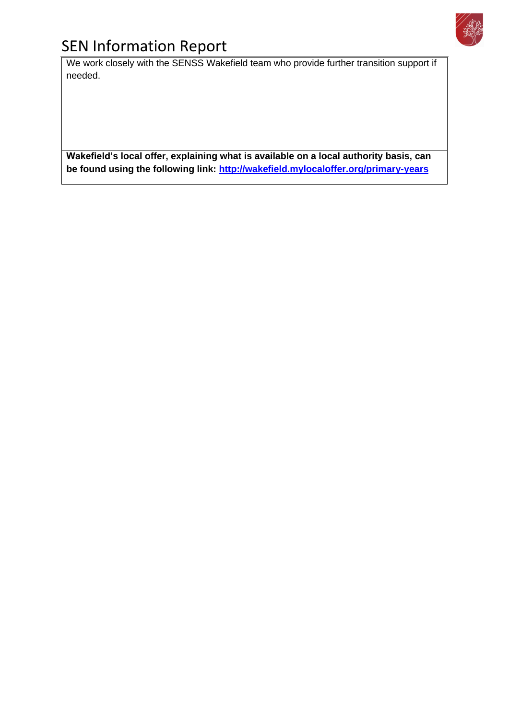

We work closely with the SENSS Wakefield team who provide further transition support if needed.

**Wakefield's local offer, explaining what is available on a local authority basis, can be found using the following link:<http://wakefield.mylocaloffer.org/primary-years>**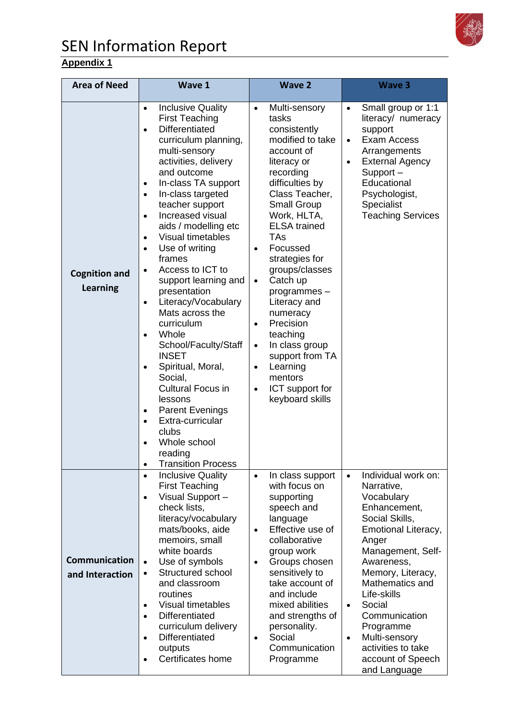

### **Appendix 1**

| <b>Area of Need</b>                     | <b>Wave 1</b>                                                                                                                                                                                                                                                                                                                                                                                                                                                                                                                                                                                                                                                                                                                                                                                                                                                     | <b>Wave 2</b>                                                                                                                                                                                                                                                                                                                                                                                                                                                                                                                             | <b>Wave 3</b>                                                                                                                                                                                                                                                                                                                                                          |
|-----------------------------------------|-------------------------------------------------------------------------------------------------------------------------------------------------------------------------------------------------------------------------------------------------------------------------------------------------------------------------------------------------------------------------------------------------------------------------------------------------------------------------------------------------------------------------------------------------------------------------------------------------------------------------------------------------------------------------------------------------------------------------------------------------------------------------------------------------------------------------------------------------------------------|-------------------------------------------------------------------------------------------------------------------------------------------------------------------------------------------------------------------------------------------------------------------------------------------------------------------------------------------------------------------------------------------------------------------------------------------------------------------------------------------------------------------------------------------|------------------------------------------------------------------------------------------------------------------------------------------------------------------------------------------------------------------------------------------------------------------------------------------------------------------------------------------------------------------------|
| <b>Cognition and</b><br><b>Learning</b> | <b>Inclusive Quality</b><br>$\bullet$<br><b>First Teaching</b><br><b>Differentiated</b><br>$\bullet$<br>curriculum planning,<br>multi-sensory<br>activities, delivery<br>and outcome<br>In-class TA support<br>$\bullet$<br>In-class targeted<br>$\bullet$<br>teacher support<br>Increased visual<br>$\bullet$<br>aids / modelling etc<br><b>Visual timetables</b><br>$\bullet$<br>Use of writing<br>$\bullet$<br>frames<br>Access to ICT to<br>support learning and<br>presentation<br>Literacy/Vocabulary<br>$\bullet$<br>Mats across the<br>curriculum<br>Whole<br>$\bullet$<br>School/Faculty/Staff<br><b>INSET</b><br>Spiritual, Moral,<br>$\bullet$<br>Social,<br><b>Cultural Focus in</b><br>lessons<br><b>Parent Evenings</b><br>$\bullet$<br>Extra-curricular<br>$\bullet$<br>clubs<br>Whole school<br>reading<br><b>Transition Process</b><br>$\bullet$ | Multi-sensory<br>$\bullet$<br>tasks<br>consistently<br>modified to take<br>account of<br>literacy or<br>recording<br>difficulties by<br>Class Teacher,<br>Small Group<br>Work, HLTA,<br><b>ELSA</b> trained<br><b>TAs</b><br>Focussed<br>$\bullet$<br>strategies for<br>groups/classes<br>Catch up<br>$\bullet$<br>programmes-<br>Literacy and<br>numeracy<br>Precision<br>$\bullet$<br>teaching<br>In class group<br>$\bullet$<br>support from TA<br>Learning<br>$\bullet$<br>mentors<br>ICT support for<br>$\bullet$<br>keyboard skills | Small group or 1:1<br>$\bullet$<br>literacy/ numeracy<br>support<br>Exam Access<br>$\bullet$<br>Arrangements<br><b>External Agency</b><br>$\bullet$<br>Support-<br>Educational<br>Psychologist,<br>Specialist<br><b>Teaching Services</b>                                                                                                                              |
| Communication<br>and Interaction        | <b>Inclusive Quality</b><br>$\bullet$<br><b>First Teaching</b><br>Visual Support -<br>$\bullet$<br>check lists,<br>literacy/vocabulary<br>mats/books, aide<br>memoirs, small<br>white boards<br>Use of symbols<br>$\bullet$<br>Structured school<br>$\bullet$<br>and classroom<br>routines<br><b>Visual timetables</b><br>$\bullet$<br>Differentiated<br>$\bullet$<br>curriculum delivery<br><b>Differentiated</b><br>$\bullet$<br>outputs<br>Certificates home<br>$\bullet$                                                                                                                                                                                                                                                                                                                                                                                      | In class support<br>$\bullet$<br>with focus on<br>supporting<br>speech and<br>language<br>Effective use of<br>$\bullet$<br>collaborative<br>group work<br>Groups chosen<br>$\bullet$<br>sensitively to<br>take account of<br>and include<br>mixed abilities<br>and strengths of<br>personality.<br>Social<br>$\bullet$<br>Communication<br>Programme                                                                                                                                                                                      | Individual work on:<br>$\bullet$<br>Narrative,<br>Vocabulary<br>Enhancement,<br>Social Skills,<br>Emotional Literacy,<br>Anger<br>Management, Self-<br>Awareness,<br>Memory, Literacy,<br>Mathematics and<br>Life-skills<br>Social<br>$\bullet$<br>Communication<br>Programme<br>Multi-sensory<br>$\bullet$<br>activities to take<br>account of Speech<br>and Language |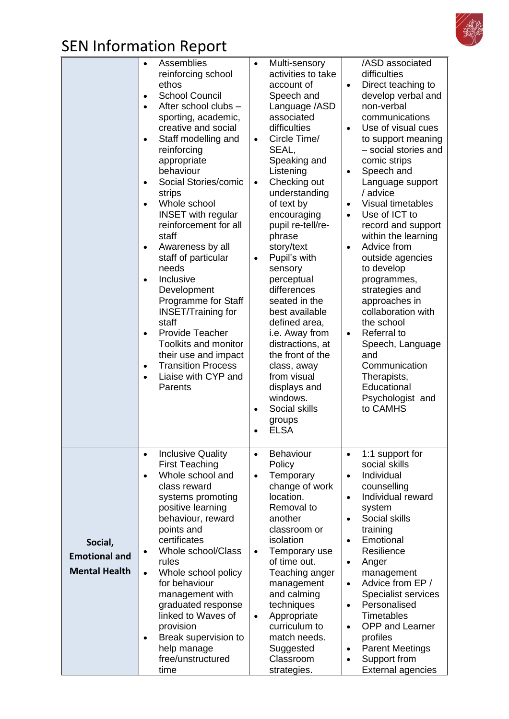

|                                                         | Assemblies<br>reinforcing school<br>ethos<br><b>School Council</b><br>$\bullet$<br>After school clubs -<br>$\bullet$<br>sporting, academic,<br>creative and social<br>Staff modelling and<br>$\bullet$<br>reinforcing<br>appropriate<br>behaviour<br>Social Stories/comic<br>$\bullet$<br>strips<br>Whole school<br>$\bullet$<br><b>INSET</b> with regular<br>reinforcement for all<br>staff<br>Awareness by all<br>staff of particular<br>needs<br>Inclusive<br>$\bullet$<br>Development<br>Programme for Staff<br><b>INSET/Training for</b><br>staff<br><b>Provide Teacher</b><br><b>Toolkits and monitor</b><br>their use and impact<br><b>Transition Process</b><br>$\bullet$<br>Liaise with CYP and<br>$\bullet$<br>Parents | Multi-sensory<br>$\bullet$<br>activities to take<br>account of<br>Speech and<br>Language /ASD<br>associated<br>difficulties<br>Circle Time/<br>$\bullet$<br>SEAL,<br>Speaking and<br>Listening<br>Checking out<br>$\bullet$<br>understanding<br>of text by<br>encouraging<br>pupil re-tell/re-<br>phrase<br>story/text<br>Pupil's with<br>٠<br>sensory<br>perceptual<br>differences<br>seated in the<br>best available<br>defined area,<br>i.e. Away from<br>distractions, at<br>the front of the<br>class, away<br>from visual<br>displays and<br>windows.<br>Social skills<br>$\bullet$<br>groups<br><b>ELSA</b> | /ASD associated<br>difficulties<br>Direct teaching to<br>$\bullet$<br>develop verbal and<br>non-verbal<br>communications<br>Use of visual cues<br>$\bullet$<br>to support meaning<br>- social stories and<br>comic strips<br>Speech and<br>$\bullet$<br>Language support<br>/ advice<br>Visual timetables<br>$\bullet$<br>Use of ICT to<br>$\bullet$<br>record and support<br>within the learning<br>Advice from<br>$\bullet$<br>outside agencies<br>to develop<br>programmes,<br>strategies and<br>approaches in<br>collaboration with<br>the school<br>Referral to<br>$\bullet$<br>Speech, Language<br>and<br>Communication<br>Therapists,<br>Educational<br>Psychologist and<br>to CAMHS |
|---------------------------------------------------------|----------------------------------------------------------------------------------------------------------------------------------------------------------------------------------------------------------------------------------------------------------------------------------------------------------------------------------------------------------------------------------------------------------------------------------------------------------------------------------------------------------------------------------------------------------------------------------------------------------------------------------------------------------------------------------------------------------------------------------|--------------------------------------------------------------------------------------------------------------------------------------------------------------------------------------------------------------------------------------------------------------------------------------------------------------------------------------------------------------------------------------------------------------------------------------------------------------------------------------------------------------------------------------------------------------------------------------------------------------------|---------------------------------------------------------------------------------------------------------------------------------------------------------------------------------------------------------------------------------------------------------------------------------------------------------------------------------------------------------------------------------------------------------------------------------------------------------------------------------------------------------------------------------------------------------------------------------------------------------------------------------------------------------------------------------------------|
| Social,<br><b>Emotional and</b><br><b>Mental Health</b> | <b>Inclusive Quality</b><br>$\bullet$<br><b>First Teaching</b><br>Whole school and<br>$\bullet$<br>class reward<br>systems promoting<br>positive learning<br>behaviour, reward<br>points and<br>certificates<br>Whole school/Class<br>rules<br>Whole school policy<br>$\bullet$<br>for behaviour<br>management with<br>graduated response<br>linked to Waves of<br>provision<br>Break supervision to<br>$\bullet$<br>help manage<br>free/unstructured<br>time                                                                                                                                                                                                                                                                    | <b>Behaviour</b><br>$\bullet$<br>Policy<br>Temporary<br>$\bullet$<br>change of work<br>location.<br>Removal to<br>another<br>classroom or<br>isolation<br>Temporary use<br>$\bullet$<br>of time out.<br>Teaching anger<br>management<br>and calming<br>techniques<br>Appropriate<br>$\bullet$<br>curriculum to<br>match needs.<br>Suggested<br>Classroom<br>strategies.                                                                                                                                                                                                                                            | 1:1 support for<br>$\bullet$<br>social skills<br>Individual<br>$\bullet$<br>counselling<br>Individual reward<br>$\bullet$<br>system<br>Social skills<br>$\bullet$<br>training<br>Emotional<br>$\bullet$<br>Resilience<br>Anger<br>$\bullet$<br>management<br>Advice from EP /<br>$\bullet$<br>Specialist services<br>Personalised<br>$\bullet$<br><b>Timetables</b><br><b>OPP and Learner</b><br>$\bullet$<br>profiles<br><b>Parent Meetings</b><br>$\bullet$<br>Support from<br>$\bullet$<br><b>External agencies</b>                                                                                                                                                                      |